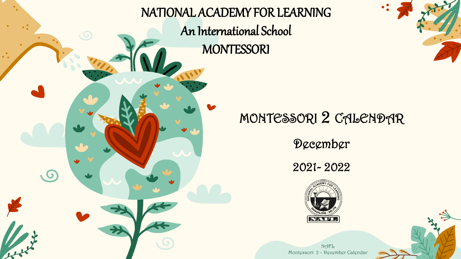



### MONTESSORI 2 CALENDAR

December

2021- 2022

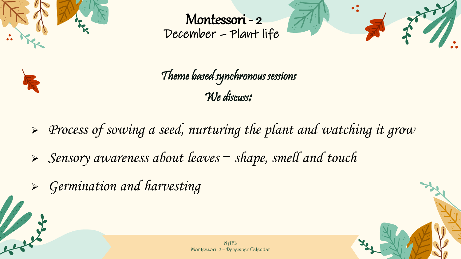

Montessori - 2 December – Plant life





Theme based synchronous sessions We discuss:

➢ Process of sowing a seed, nurturing the plant and watching it grow

➢ Sensory awareness about leaves – shape, smell and touch

➢ Germination and harvesting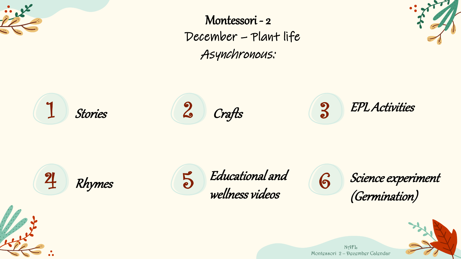

Montessori - 2 December – Plant life Asynchronous:



 $1$  Stories  $2$  Crafts  $3$ Stories **Crafts** EPL Activities





Science experiment (Germination)

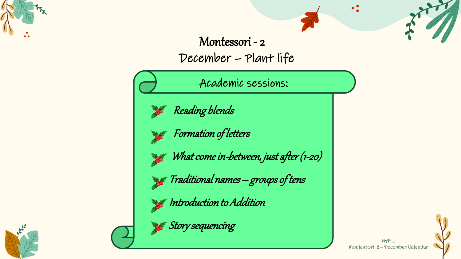

#### Montessori - 2 December – Plant life

Academic sessions:



Reading blends

Formation of letters

What come in-between, just after (1-20)

 $\epsilon$  Traditional names — groups of tens

 $\cdot$  Introduction to Addition





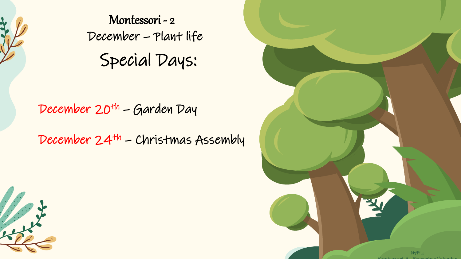

Special Days: Montessori - 2 December – Plant life

#### December 20<sup>th</sup> – Garden Day

December 24th – Christmas Assembly



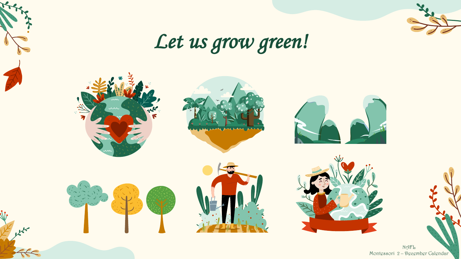

## Let us grow green!



 $\mathbb{R}^{\mathbb{R}^{\mathbb{Z}}}$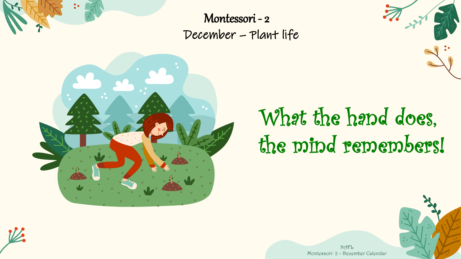

Montessori - 2 December – Plant life



# What the hand does, the mind remembers!



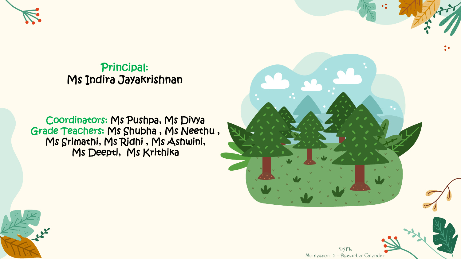

Principal: Ms Indira Jayakrishnan

Coordinators: Ms Pushpa, Ms Divya Grade Teachers: Ms Shubha , Ms Neethu , Ms Srimathi, Ms Ridhi , Ms Ashwini, Ms Deepti, Ms Krithika